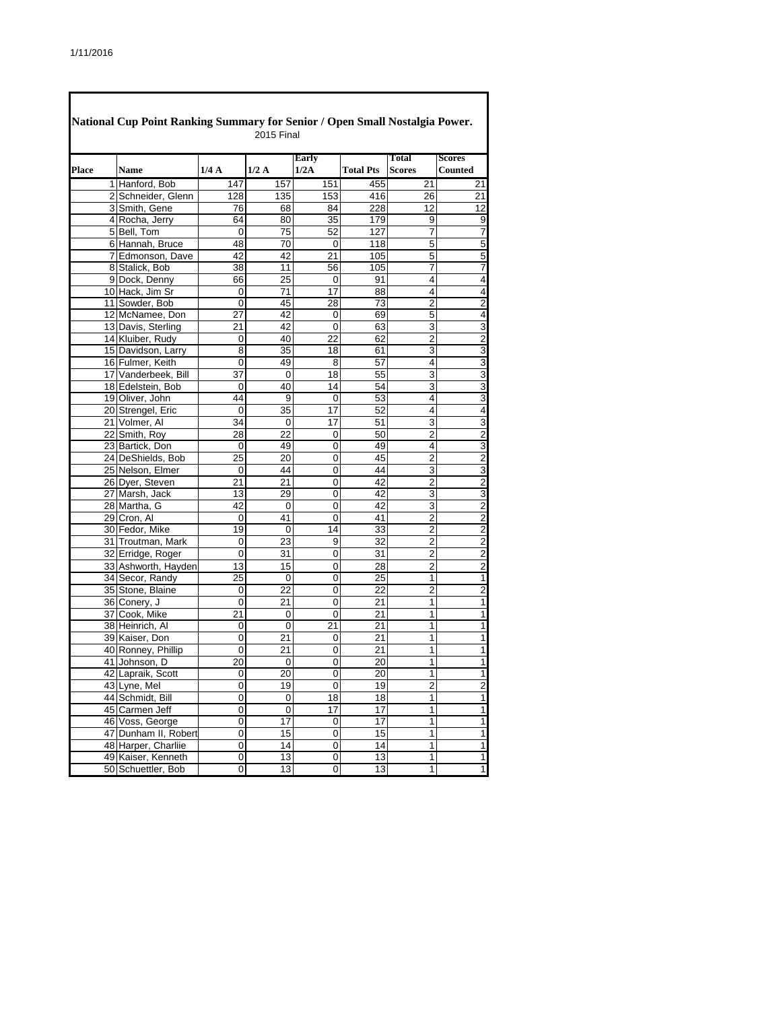|       |                      |                | 2015 Final      |                 |                  |                               |                                 |
|-------|----------------------|----------------|-----------------|-----------------|------------------|-------------------------------|---------------------------------|
| Place | <b>Name</b>          | 1/4A           | 1/2A            | Early<br>1/2A   | <b>Total Pts</b> | <b>Total</b><br><b>Scores</b> | <b>Scores</b><br><b>Counted</b> |
|       | 1 Hanford, Bob       | 147            | 157             | 151             | 455              | 21                            | 21                              |
|       | 2 Schneider, Glenn   | 128            | 135             | 153             | 416              | 26                            | 21                              |
|       | 3 Smith, Gene        | 76             | 68              | 84              | 228              | $\overline{12}$               | $\overline{12}$                 |
|       | 4 Rocha, Jerry       | 64             | 80              | 35              | 179              | 9                             | 9                               |
|       | 5 Bell. Tom          | $\mathbf 0$    | 75              | 52              | 127              | 7                             | 7                               |
|       | 6 Hannah, Bruce      | 48             | 70              | 0               | 118              | 5                             | 5                               |
|       | 7 Edmonson, Dave     | 42             | 42              | 21              | 105              | 5                             | 5                               |
|       | 8 Stalick, Bob       | 38             | 11              | 56              | 105              | 7                             | $\overline{7}$                  |
|       | 9 Dock, Denny        | 66             | 25              | $\Omega$        | 91               | 4                             | $\overline{\mathbf{4}}$         |
|       | 10 Hack, Jim Sr      | 0              | 71              | 17              | 88               | 4                             | $\overline{4}$                  |
|       | 11 Sowder, Bob       | 0              | 45              | 28              | 73               | $\overline{2}$                | $\overline{2}$                  |
|       | 12 McNamee, Don      | 27             | 42              | 0               | 69               | 5                             | $\overline{\mathbf{4}}$         |
|       | 13 Davis, Sterling   | 21             | 42              | 0               | 63               | 3                             | $\overline{3}$                  |
|       | 14 Kluiber, Rudy     | $\mathbf 0$    | 40              | 22              | 62               | 2                             |                                 |
|       | 15 Davidson, Larry   | 8              | 35              | 18              | 61               | 3                             | $\frac{2}{3}$                   |
|       | 16 Fulmer, Keith     | 0              | 49              | 8               | 57               | 4                             | $\overline{3}$                  |
|       | 17 Vanderbeek, Bill  | 37             | 0               | 18              | 55               | 3                             | $\frac{3}{3}$                   |
|       | 18 Edelstein, Bob    | 0              | 40              | 14              | 54               | 3                             |                                 |
|       | 19 Oliver, John      | 44             | 9               | 0               | 53               | 4                             | $\overline{3}$                  |
|       | 20 Strengel, Eric    | $\Omega$       | 35              | 17              | 52               | 4                             | 4                               |
|       | 21 Volmer, Al        | 34             | 0               | $\overline{17}$ | $\overline{51}$  | 3                             | 3                               |
|       | 22 Smith, Roy        | 28             | 22              | 0               | 50               | 2                             | $\overline{c}$                  |
|       | 23 Bartick, Don      | $\mathbf 0$    | 49              | 0               | 49               | 4                             | $\overline{3}$                  |
|       | 24 DeShields, Bob    | 25             | 20              | 0               | 45               | 2                             | $\overline{\mathbf{c}}$         |
|       | 25 Nelson, Elmer     | $\mathbf 0$    | 44              | 0               | 44               | 3                             | $\overline{3}$                  |
|       | 26 Dyer, Steven      | 21             | 21              | 0               | 42               | 2                             | $\overline{\mathbf{c}}$         |
|       | 27 Marsh, Jack       | 13             | 29              | 0               | 42               | 3                             | $\frac{3}{2}$                   |
|       | 28 Martha, G         | 42             | $\mathbf 0$     | 0               | 42               | 3                             |                                 |
|       | 29 Cron, Al          | 0              | 41              | 0               | 41               | $\overline{2}$                | $\overline{2}$                  |
|       | 30 Fedor, Mike       | 19             | 0               | 14              | 33               | $\overline{c}$                | $\overline{\mathbf{c}}$         |
|       | 31 Troutman, Mark    | 0              | 23              | 9               | 32               | $\overline{c}$                | $\frac{2}{2}$                   |
|       | 32 Erridge, Roger    | 0              | 31              | 0               | 31               | $\overline{2}$                |                                 |
|       | 33 Ashworth, Hayden  | 13             | 15              | 0               | 28               | 2                             | $\overline{2}$                  |
|       | 34 Secor, Randy      | 25             | 0               | 0               | 25               | $\mathbf{1}$                  | $\overline{1}$                  |
|       | 35 Stone, Blaine     | 0              | 22              | 0               | 22               | 2                             | $\overline{2}$                  |
|       | 36 Conery, J         | 0              | 21              | 0               | 21               | 1                             | $\overline{\mathbf{1}}$         |
|       | 37 Cook, Mike        | 21             | 0               | 0               | 21               | 1                             | $\overline{1}$                  |
|       | 38 Heinrich, Al      | 0              | 0               | 21              | 21               | 1                             | $\overline{1}$                  |
|       | 39 Kaiser, Don       | 0              | 21              | 0               | 21               | 1                             | $\overline{1}$                  |
|       | 40 Ronney, Phillip   | 0              | $\overline{21}$ | 0               | 21               | 1                             | $\overline{1}$                  |
|       | 41 Johnson, D        | 20             | 0               | 0               | 20               | 1                             | $\overline{\mathbf{1}}$         |
|       | 42 Lapraik, Scott    | 0              | 20              | 0               | 20               | $\overline{1}$                | $\overline{1}$                  |
|       | 43 Lyne, Mel         | 0              | 19              | 0               | 19               | 2                             | $\overline{c}$                  |
|       | 44 Schmidt, Bill     | 0              | 0               | 18              | 18               | 1                             | $\overline{\mathbf{1}}$         |
|       | 45 Carmen Jeff       | 0              | 0               | 17              | 17               | 1                             | $\overline{\mathbf{1}}$         |
|       | 46 Voss, George      | $\overline{0}$ | $\overline{17}$ | 0               | 17               | 1                             | $\overline{\mathbf{1}}$         |
|       | 47 Dunham II, Robert | 0              | 15              | 0               | 15               | 1                             | $\overline{1}$                  |
|       | 48 Harper, Charliie  | $\overline{0}$ | 14              | 0               | 14               | 1                             | $\overline{1}$                  |
|       | 49 Kaiser, Kenneth   | 0              | 13              | 0               | 13               | 1                             | $\overline{1}$                  |
|       | 50 Schuettler, Bob   | 0              | 13              | 0               | 13               | 1                             | $\overline{1}$                  |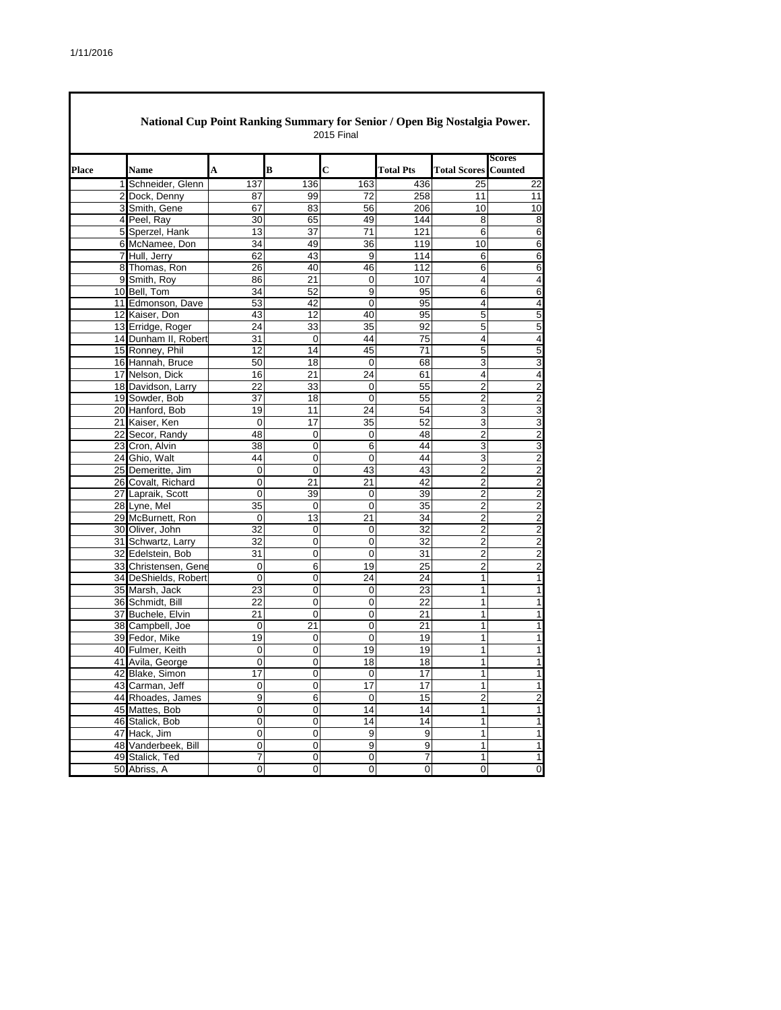|              | National Cup Point Ranking Summary for Senior / Open Big Nostalgia Power. |                 | <b>2015 Final</b> |                 |                  |                             |                         |
|--------------|---------------------------------------------------------------------------|-----------------|-------------------|-----------------|------------------|-----------------------------|-------------------------|
| <b>Place</b> | <b>Name</b>                                                               | A               | B                 | C               | <b>Total Pts</b> | <b>Total Scores Counted</b> | <b>Scores</b>           |
|              | 1 Schneider, Glenn                                                        | 137             | 136               | 163             | 436              | 25                          | 22                      |
|              | 2 Dock, Denny                                                             | 87              | 99                | 72              | 258              | 11                          | 11                      |
|              | 3 Smith, Gene                                                             | 67              | 83                | 56              | 206              | 10                          | 10                      |
|              | 4 Peel, Ray                                                               | 30              | 65                | 49              | 144              | 8                           | 8                       |
|              | 5 Sperzel, Hank                                                           | 13              | 37                | $\overline{71}$ | 121              | 6                           | 6                       |
|              | 6 McNamee, Don                                                            | 34              | 49                | 36              | 119              | 10                          | 6                       |
|              | 7 Hull, Jerry                                                             | 62              | 43                | 9               | 114              | 6                           | 6                       |
|              | 8 Thomas, Ron                                                             | 26              | 40                | 46              | 112              | 6                           | 6                       |
|              | 9 Smith, Roy                                                              | 86              | 21                | 0               | 107              | 4                           | $\overline{\mathbf{4}}$ |
|              | 10 Bell, Tom                                                              | 34              | 52                | 9               | 95               | 6                           | 6                       |
|              | 11 Edmonson, Dave                                                         | 53              | 42                | 0               | 95               | $\overline{4}$              | $\overline{\mathbf{4}}$ |
|              | 12 Kaiser, Don                                                            | 43              | 12                | 40              | 95               | 5                           | 5                       |
|              | 13 Erridge, Roger                                                         | 24              | 33                | 35              | 92               | 5                           | 5                       |
|              | 14 Dunham II, Robert                                                      | 31              | 0                 | 44              | 75               | 4                           | $\overline{\mathbf{4}}$ |
|              | 15 Ronney, Phil                                                           | 12              | 14                | 45              | 71               | 5                           | 5                       |
|              | 16 Hannah, Bruce                                                          | 50              | 18                | $\mathbf 0$     | 68               | 3                           | 3                       |
|              | 17 Nelson, Dick                                                           | 16              | 21                | 24              | 61               | 4                           | $\overline{\mathbf{4}}$ |
|              | 18 Davidson, Larry                                                        | 22              | 33                | 0               | 55               | $\overline{2}$              | $\overline{2}$          |
|              | 19 Sowder, Bob                                                            | 37              | 18                | 0               | 55               | $\overline{2}$              | $\overline{2}$          |
|              | 20 Hanford, Bob                                                           | 19              | 11                | 24              | 54               | 3                           | 3                       |
|              | 21 Kaiser, Ken                                                            | $\mathbf 0$     | 17                | 35              | 52               | 3                           | 3                       |
|              | 22 Secor, Randy                                                           | 48              | 0                 | 0               | 48               | $\overline{2}$              | $\overline{2}$          |
|              | 23 Cron, Alvin                                                            | 38              | $\mathbf 0$       | 6               | 44               | 3                           | 3                       |
|              | 24 Ghio, Walt                                                             | 44              | 0                 | 0               | 44               | 3                           | $\overline{2}$          |
|              | 25 Demeritte, Jim                                                         | 0               | $\overline{0}$    | 43              | 43               | $\overline{2}$              | $\overline{2}$          |
|              | 26 Covalt, Richard                                                        | 0               | 21                | 21              | 42               | 2                           | $\overline{2}$          |
|              | 27 Lapraik, Scott                                                         | 0               | 39                | 0               | 39               | $\overline{2}$              | $\overline{2}$          |
|              | 28 Lyne, Mel                                                              | 35              | 0                 | 0               | 35               | $\overline{2}$              | $\overline{2}$          |
|              | 29 McBurnett, Ron                                                         | $\mathbf 0$     | 13                | 21              | 34               | $\overline{2}$              | $\overline{2}$          |
|              | 30 Oliver, John                                                           | 32              | 0                 | 0               | 32               | $\overline{2}$              | $\overline{2}$          |
|              | 31 Schwartz, Larry                                                        | $\overline{32}$ | $\overline{0}$    | 0               | 32               | $\overline{2}$              | $\overline{2}$          |
|              | 32 Edelstein, Bob                                                         | 31              | 0                 | 0               | 31               | $\overline{2}$              | $\overline{\mathbf{c}}$ |
|              | 33 Christensen, Gene                                                      | 0               | 6                 | 19              | 25               | $\overline{2}$              | $\mathbf 2$             |
|              | 34 DeShields, Robert                                                      | 0               | $\mathbf 0$       | 24              | 24               | $\mathbf{1}$                | $\mathbf{1}$            |
|              | 35 Marsh, Jack                                                            | 23              | 0                 | 0               | 23               | 1                           | 1                       |
|              | 36 Schmidt, Bill                                                          | 22              | 0                 | 0               | 22               | 1                           | $\overline{1}$          |
|              | 37 Buchele, Elvin                                                         | 21              | 0                 | 0               | 21               | 1                           | 1                       |
|              | 38 Campbell, Joe                                                          | 0               | 21                | 0               | $\overline{21}$  | $\mathbf{1}$                | $\overline{1}$          |
|              | 39 Fedor, Mike                                                            | 19              | 0                 | 0               | 19               | 1                           | 1                       |
|              | 40 Fulmer, Keith                                                          | 0               | 0                 | 19              | 19               | $\mathbf{1}$                | 1                       |
|              | 41 Avila, George                                                          | $\Omega$        | $\overline{0}$    | 18              | 18               | 1                           | $\mathbf{1}$            |
|              | 42 Blake, Simon                                                           | 17              | $\pmb{0}$         | 0               | 17               | 1                           | $\mathbf{1}$            |
|              | 43 Carman, Jeff                                                           | 0               | $\overline{0}$    | 17              | 17               | 1                           | 1                       |
|              | 44 Rhoades, James                                                         | 9               | 6                 | 0               | 15               | $\overline{\mathbf{c}}$     | $\overline{\mathbf{c}}$ |
|              | 45 Mattes, Bob                                                            | 0               | 0                 | 14              | 14               | $\mathbf{1}$                | $\mathbf{1}$            |
|              | 46 Stalick, Bob                                                           | 0               | 0                 | 14              | 14               | 1                           | $\overline{1}$          |
|              | 47 Hack, Jim                                                              | 0               | 0                 | 9               | 9                | 1                           | 1                       |
|              | 48 Vanderbeek, Bill                                                       | $\overline{0}$  | $\overline{0}$    | $\overline{9}$  | 9                | 1                           | 1                       |
|              | 49 Stalick, Ted                                                           | 7               | $\pmb{0}$         | $\pmb{0}$       | 7                | 1                           | $\mathbf{1}$            |
|              | 50 Abriss, A                                                              | $\pmb{0}$       | $\overline{0}$    | $\pmb{0}$       | 0                | $\pmb{0}$                   | $\pmb{0}$               |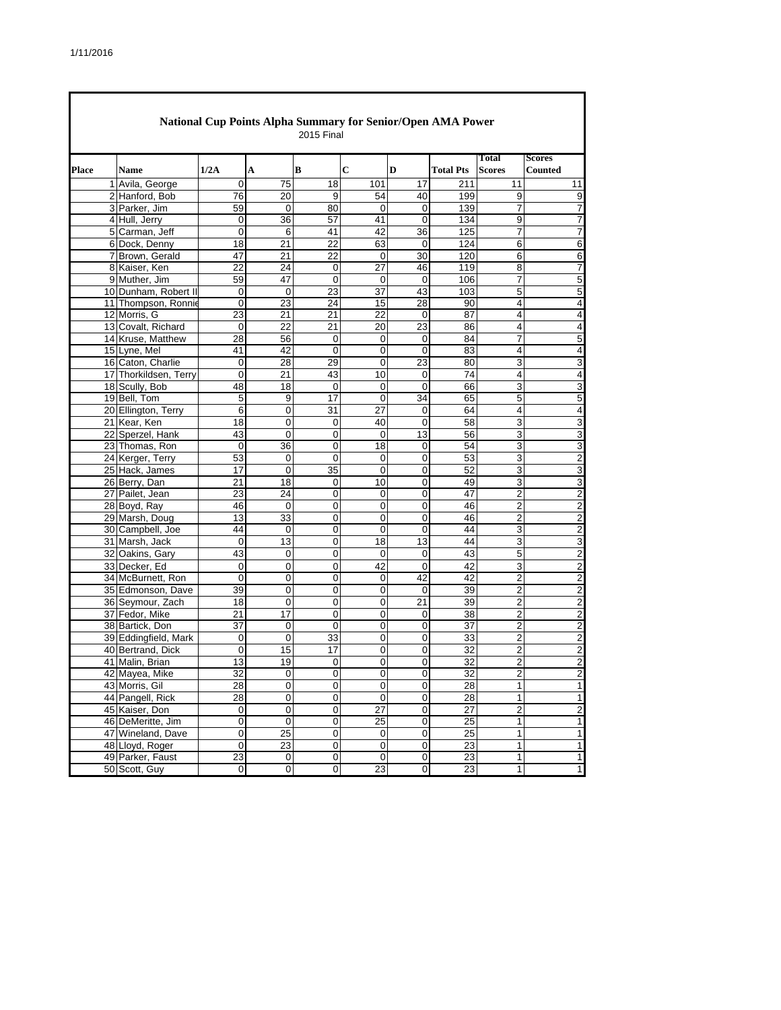|              | National Cup Points Alpha Summary for Senior/Open AMA Power<br>2015 Final |                 |                 |                 |                 |                         |                  |                  |                         |  |  |  |
|--------------|---------------------------------------------------------------------------|-----------------|-----------------|-----------------|-----------------|-------------------------|------------------|------------------|-------------------------|--|--|--|
|              |                                                                           |                 |                 |                 |                 |                         |                  | Total            | <b>Scores</b>           |  |  |  |
| <b>Place</b> | <b>Name</b>                                                               | 1/2A            | A               | В               | C               | D                       | <b>Total Pts</b> | <b>Scores</b>    | <b>Counted</b>          |  |  |  |
|              | 1 Avila, George                                                           | 0               | 75              | 18              | 101             | 17                      | 211              | 11               | 11                      |  |  |  |
|              | 2 Hanford, Bob                                                            | 76              | 20              | 9               | 54              | 40                      | 199              | 9                | 9                       |  |  |  |
|              | 3 Parker, Jim                                                             | 59              | 0               | 80              | $\mathbf 0$     | 0                       | 139              | 7                | 7                       |  |  |  |
|              | 4 Hull, Jerry                                                             | 0               | 36              | 57              | 41              | 0                       | 134              | 9                | 7                       |  |  |  |
|              | 5 Carman, Jeff                                                            | 0               | 6               | 41              | 42              | 36                      | 125              | 7                | 7                       |  |  |  |
|              | 6 Dock, Denny                                                             | 18              | 21              | 22              | 63              | 0                       | 124              | 6                | 6                       |  |  |  |
|              | 7 Brown, Gerald                                                           | 47              | 21              | 22              | $\mathbf 0$     | 30                      | 120              | 6                | 6                       |  |  |  |
|              | 8 Kaiser, Ken                                                             | 22              | 24              | 0               | 27              | 46                      | 119              | 8                | 7                       |  |  |  |
|              | 9 Muther, Jim                                                             | 59              | 47              | $\mathbf 0$     | $\Omega$        | $\mathbf 0$             | 106              | $\overline{7}$   | 5                       |  |  |  |
|              | 10 Dunham, Robert II<br>11 Thompson, Ronnie                               | 0<br>0          | 0<br>23         | 23<br>24        | 37<br>15        | 43<br>28                | 103<br>90        | 5<br>4           | 5<br>4                  |  |  |  |
|              | 12 Morris, G                                                              | 23              | 21              | 21              | 22              | 0                       | 87               | 4                |                         |  |  |  |
|              | 13 Covalt, Richard                                                        | 0               | 22              | 21              | 20              | 23                      | 86               | 4                | 4<br>4                  |  |  |  |
|              | 14 Kruse, Matthew                                                         | 28              | 56              | $\mathbf 0$     | 0               | 0                       | 84               | 7                | 5                       |  |  |  |
|              | 15 Lyne, Mel                                                              | 41              | 42              | $\mathbf 0$     | 0               | 0                       | 83               | 4                | 4                       |  |  |  |
|              | 16 Caton, Charlie                                                         | 0               | 28              | 29              | $\mathbf 0$     | 23                      | 80               | 3                | 3                       |  |  |  |
|              | 17 Thorkildsen, Terry                                                     | 0               | 21              | 43              | 10              | 0                       | 74               | 4                | 4                       |  |  |  |
|              | 18 Scully, Bob                                                            | 48              | 18              | 0               | 0               | $\mathbf 0$             | 66               | 3                | 3                       |  |  |  |
|              | 19 Bell, Tom                                                              | 5               | 9               | 17              | $\mathbf 0$     | 34                      | 65               | 5                | 5                       |  |  |  |
|              | 20 Ellington, Terry                                                       | 6               | 0               | 31              | 27              | 0                       | 64               | 4                | 4                       |  |  |  |
|              | 21 Kear, Ken                                                              | 18              | 0               | 0               | 40              | 0                       | 58               | 3                | 3                       |  |  |  |
|              | 22 Sperzel, Hank                                                          | 43              | 0               | 0               | 0               | 13                      | 56               | 3                | 3                       |  |  |  |
|              | 23 Thomas, Ron                                                            | 0               | 36              | 0               | 18              | $\mathbf 0$             | 54               | 3                | 3                       |  |  |  |
|              | 24 Kerger, Terry                                                          | 53              | 0               | 0               | 0               | 0                       | 53               | 3                | $\overline{2}$          |  |  |  |
|              | 25 Hack, James                                                            | 17              | 0               | $\overline{35}$ | $\mathbf 0$     | $\overline{0}$          | 52               | 3                | 3                       |  |  |  |
|              | 26 Berry, Dan                                                             | 21              | 18              | 0               | 10              | 0                       | 49               | 3                | 3                       |  |  |  |
|              | 27 Pailet, Jean                                                           | 23              | 24              | 0               | $\Omega$        | $\mathbf 0$             | 47               | $\overline{2}$   | $\overline{2}$          |  |  |  |
|              | 28 Boyd, Ray                                                              | 46              | 0               | 0               | 0               | 0                       | 46               | 2                | $\overline{c}$          |  |  |  |
|              | 29 Marsh, Doug                                                            | 13              | 33              | 0               | 0               | 0                       | 46               | $\overline{2}$   | $\overline{c}$          |  |  |  |
|              | 30 Campbell, Joe                                                          | 44              | 0               | 0               | 0               | 0                       | 44               | 3                | 2                       |  |  |  |
|              | 31 Marsh, Jack                                                            | 0               | 13              | 0               | 18              | 13                      | 44               | 3                | 3                       |  |  |  |
|              | 32 Oakins, Gary                                                           | 43              | 0               | 0               | 0               | 0                       | 43               | 5                | $\overline{\mathbf{c}}$ |  |  |  |
|              | 33 Decker, Ed                                                             | 0               | 0               | 0               | 42              | 0                       | 42               | 3                | $\overline{c}$          |  |  |  |
|              | 34 McBurnett, Ron                                                         | $\mathbf 0$     | 0               | 0               | 0               | 42                      | 42               | $\overline{2}$   | $\overline{2}$          |  |  |  |
|              | 35 Edmonson, Dave                                                         | 39              | 0               | 0               | 0               | 0                       | 39               | 2                | $\overline{c}$          |  |  |  |
|              | 36 Seymour, Zach                                                          | 18              | 0               | 0               | 0               | $\overline{21}$         | 39               | $\overline{2}$   | $\overline{c}$          |  |  |  |
|              | 37 Fedor, Mike                                                            | 21              | 17              | 0               | 0               | 0                       | 38               | 2                | 2                       |  |  |  |
|              | 38 Bartick, Don                                                           | 37              | 0               | 0               | 0               | 0                       | 37               | 2                | $\overline{2}$          |  |  |  |
|              | 39 Eddingfield, Mark                                                      | 0               | 0               | 33              | 0               | 0                       | 33               | $\overline{2}$   | $\overline{2}$          |  |  |  |
|              | 40 Bertrand, Dick                                                         | 0               | $\overline{15}$ | 17              | 0               | 0                       | 32               | 2                | $\overline{2}$          |  |  |  |
|              | 41 Malin, Brian                                                           | $\overline{13}$ | 19              | $\overline{0}$  | 0               | $\overline{0}$          | 32               | $\overline{c}$   | $\overline{2}$          |  |  |  |
|              | 42 Mayea, Mike                                                            | 32              | 0               | $\mathbf 0$     | $\overline{0}$  | $\mathbf 0$             | 32               | $\overline{2}$   | $\overline{c}$          |  |  |  |
|              | 43 Morris, Gil                                                            | 28              | 0               | 0               | 0               | 0                       | 28               | $\mathbf{1}$     | 1                       |  |  |  |
|              | 44 Pangell, Rick                                                          | $\overline{28}$ | $\overline{0}$  | 0               | 0               | 0                       | 28               | $\mathbf{1}$     | 1                       |  |  |  |
|              | 45 Kaiser, Don                                                            | 0               | $\pmb{0}$       | 0               | 27              | $\pmb{0}$               | 27               | $\boldsymbol{2}$ | $\overline{c}$          |  |  |  |
|              | 46 DeMeritte, Jim                                                         | $\overline{0}$  | $\overline{0}$  | 0               | $\overline{25}$ | $\overline{0}$          | 25               | 1                | 1                       |  |  |  |
|              | 47 Wineland, Dave                                                         | 0               | 25              | 0               | 0               | $\pmb{0}$               | 25               | 1                | 1                       |  |  |  |
|              | 48 Lloyd, Roger                                                           | 0               | 23              | 0               | 0               | $\overline{\mathbf{0}}$ | 23               | 1                | 1                       |  |  |  |
|              | 49 Parker, Faust                                                          | 23              | $\pmb{0}$       | 0               | $\pmb{0}$       | $\pmb{0}$               | 23               | 1                | 1                       |  |  |  |
|              | 50 Scott, Guy                                                             | 0               | $\overline{0}$  | 0               | 23              | ${\bf 0}$               | 23               | $\mathbf{1}$     | $\mathbf{1}$            |  |  |  |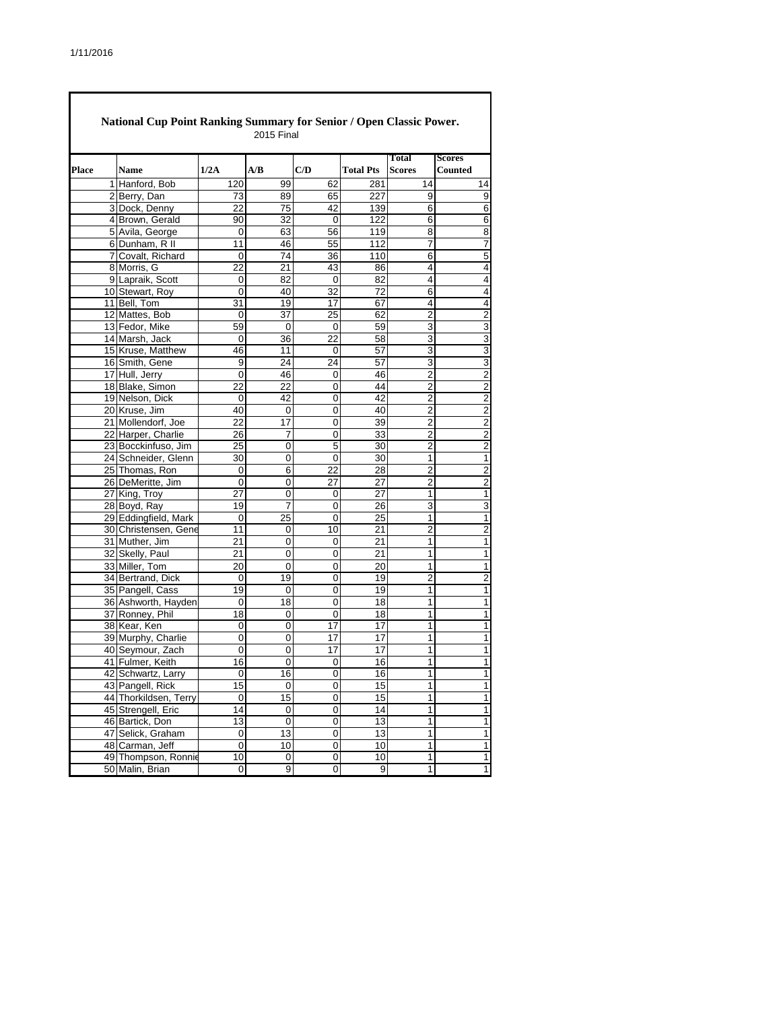|       | National Cup Point Ranking Summary for Senior / Open Classic Power.<br>2015 Final |                                  |                 |                 |                   |                  |                |                         |  |  |  |  |
|-------|-----------------------------------------------------------------------------------|----------------------------------|-----------------|-----------------|-------------------|------------------|----------------|-------------------------|--|--|--|--|
|       |                                                                                   |                                  |                 |                 |                   |                  | <b>Total</b>   | <b>Scores</b>           |  |  |  |  |
| Place |                                                                                   | <b>Name</b>                      | 1/2A            | A/B             | C/D               | <b>Total Pts</b> | <b>Scores</b>  | <b>Counted</b>          |  |  |  |  |
|       |                                                                                   | 1 Hanford, Bob                   | 120             | 99              | 62                | 281              | 14             | 14                      |  |  |  |  |
|       |                                                                                   | 2 Berry, Dan                     | 73              | 89              | 65                | 227              | 9              | 9                       |  |  |  |  |
|       |                                                                                   | 3 Dock, Denny<br>4 Brown, Gerald | 22              | 75              | 42                | 139              | 6              | $\overline{6}$          |  |  |  |  |
|       |                                                                                   | 5 Avila, George                  | 90<br>0         | 32<br>63        | 0<br>56           | 122<br>119       | 6<br>8         | $\overline{6}$<br>8     |  |  |  |  |
|       |                                                                                   | 6 Dunham, R II                   | 11              | 46              |                   | 112              |                | $\overline{7}$          |  |  |  |  |
|       |                                                                                   | 7 Covalt, Richard                | 0               | 74              | 55<br>36          | 110              | 7<br>6         | 5                       |  |  |  |  |
|       |                                                                                   | 8 Morris, G                      | 22              |                 |                   |                  | 4              | $\overline{4}$          |  |  |  |  |
|       |                                                                                   | 9 Lapraik, Scott                 | 0               | 21<br>82        | 43<br>$\mathbf 0$ | 86<br>82         | 4              | 4                       |  |  |  |  |
|       |                                                                                   | 10 Stewart, Roy                  | 0               | 40              | 32                | 72               | 6              | $\overline{4}$          |  |  |  |  |
|       |                                                                                   | 11 Bell, Tom                     | 31              | 19              | 17                | 67               | 4              | 4                       |  |  |  |  |
|       |                                                                                   | 12 Mattes, Bob                   | 0               | 37              | 25                | 62               | 2              | $\overline{2}$          |  |  |  |  |
|       |                                                                                   | 13 Fedor, Mike                   | 59              | 0               | 0                 | 59               | 3              | $\overline{3}$          |  |  |  |  |
|       |                                                                                   | 14 Marsh, Jack                   | 0               | 36              | 22                | 58               | 3              | $\overline{3}$          |  |  |  |  |
|       |                                                                                   | 15 Kruse, Matthew                | 46              | 11              | 0                 | 57               | 3              | $\overline{3}$          |  |  |  |  |
|       |                                                                                   | 16 Smith, Gene                   | 9               | 24              | 24                | 57               | 3              | 3                       |  |  |  |  |
|       |                                                                                   | 17 Hull, Jerry                   | 0               | 46              | 0                 | 46               | 2              |                         |  |  |  |  |
|       |                                                                                   | 18 Blake, Simon                  | 22              | 22              | 0                 | 44               | $\overline{2}$ | $\frac{2}{2}$           |  |  |  |  |
|       |                                                                                   | 19 Nelson, Dick                  | 0               | 42              | 0                 | 42               | $\overline{2}$ | $\overline{2}$          |  |  |  |  |
|       |                                                                                   | 20 Kruse, Jim                    | 40              | $\mathbf 0$     | 0                 | 40               | $\overline{2}$ | $\overline{2}$          |  |  |  |  |
|       |                                                                                   | 21 Mollendorf, Joe               | 22              | $\overline{17}$ | $\overline{0}$    | 39               | $\overline{2}$ | $\overline{\mathbf{c}}$ |  |  |  |  |
|       |                                                                                   | 22 Harper, Charlie               | 26              | 7               | 0                 | 33               | 2              | $\overline{\mathbf{c}}$ |  |  |  |  |
|       |                                                                                   | 23 Bocckinfuso, Jim              | 25              | $\overline{0}$  | 5                 | 30               | $\overline{2}$ | $\overline{2}$          |  |  |  |  |
|       |                                                                                   | 24 Schneider, Glenn              | 30              | 0               | 0                 | 30               | 1              | $\overline{1}$          |  |  |  |  |
|       |                                                                                   | 25 Thomas, Ron                   | 0               | $\overline{6}$  | 22                | 28               | $\overline{2}$ | $\overline{\mathbf{c}}$ |  |  |  |  |
|       |                                                                                   | 26 DeMeritte, Jim                | 0               | 0               | 27                | 27               | 2              | $\overline{2}$          |  |  |  |  |
|       |                                                                                   | 27 King, Troy                    | 27              | $\mathbf 0$     | 0                 | 27               | 1              | $\overline{\mathbf{1}}$ |  |  |  |  |
|       |                                                                                   | 28 Boyd, Ray                     | 19              | 7               | 0                 | 26               | 3              | 3                       |  |  |  |  |
|       |                                                                                   | 29 Eddingfield, Mark             | 0               | 25              | 0                 | 25               | $\mathbf{1}$   | $\overline{1}$          |  |  |  |  |
|       |                                                                                   | 30 Christensen, Gene             | 11              | 0               | 10                | 21               | $\overline{2}$ | $\overline{2}$          |  |  |  |  |
|       |                                                                                   | 31 Muther, Jim                   | 21              | 0               | 0                 | 21               | 1              | $\overline{1}$          |  |  |  |  |
|       |                                                                                   | 32 Skelly, Paul                  | 21              | 0               | $\mathbf 0$       | 21               | 1              | $\overline{1}$          |  |  |  |  |
|       |                                                                                   | 33 Miller, Tom                   | 20              | $\mathbf 0$     | 0                 | 20               | 1              | $\mathbf{1}$            |  |  |  |  |
|       |                                                                                   | 34 Bertrand, Dick                | 0               | 19              | 0                 | 19               | $\overline{2}$ | $\overline{2}$          |  |  |  |  |
|       |                                                                                   | 35 Pangell, Cass                 | 19              | 0               | 0                 | 19               | 1              | $\overline{1}$          |  |  |  |  |
|       |                                                                                   | 36 Ashworth, Hayden              | 0               | 18              | $\overline{0}$    | 18               | 1              | $\overline{1}$          |  |  |  |  |
|       |                                                                                   | 37 Ronney, Phil                  | 18              | 0               | 0                 | 18               | 1              | $\overline{1}$          |  |  |  |  |
|       |                                                                                   | 38 Kear, Ken                     | 0               | 0               | 17                | 17               | 1              | $\overline{1}$          |  |  |  |  |
|       |                                                                                   | 39 Murphy, Charlie               | 0               | 0               | 17                | 17               | 1              | $\overline{1}$          |  |  |  |  |
|       |                                                                                   | 40 Seymour, Zach                 | 0               | 0               | 17                | 17               | 1              | 1                       |  |  |  |  |
|       |                                                                                   | 41 Fulmer, Keith                 | 16              | 0               | 0                 | 16               | 1              | 1                       |  |  |  |  |
|       |                                                                                   | 42 Schwartz, Larry               | 0               | 16              | 0                 | 16               | $\overline{1}$ | $\overline{1}$          |  |  |  |  |
|       |                                                                                   | 43 Pangell, Rick                 | 15              | 0               | 0                 | 15               | 1              | $\overline{\mathbf{1}}$ |  |  |  |  |
|       |                                                                                   | 44 Thorkildsen, Terry            | 0               | 15              | 0                 | 15               | $\overline{1}$ | $\overline{1}$          |  |  |  |  |
|       |                                                                                   | 45 Strengell, Eric               | 14              | 0               | 0                 | 14               | $\mathbf{1}$   | $\overline{\mathbf{1}}$ |  |  |  |  |
|       |                                                                                   | 46 Bartick, Don                  | $\overline{13}$ | 0               | $\overline{0}$    | 13               | $\overline{1}$ | $\overline{1}$          |  |  |  |  |
|       |                                                                                   | 47 Selick, Graham                | $\overline{0}$  | 13              | 0                 | 13               | $\mathbf{1}$   | $\overline{\mathbf{1}}$ |  |  |  |  |
|       |                                                                                   | 48 Carman, Jeff                  | 0               | 10              | $\overline{0}$    | 10               | $\overline{1}$ | $\overline{1}$          |  |  |  |  |
|       |                                                                                   | 49 Thompson, Ronnie              | 10              | 0               | 0                 | 10               | 1              | $\overline{1}$          |  |  |  |  |
|       |                                                                                   | 50 Malin, Brian                  | 0               | 9               | 0                 | 9                | $\mathbf{1}$   | $\overline{1}$          |  |  |  |  |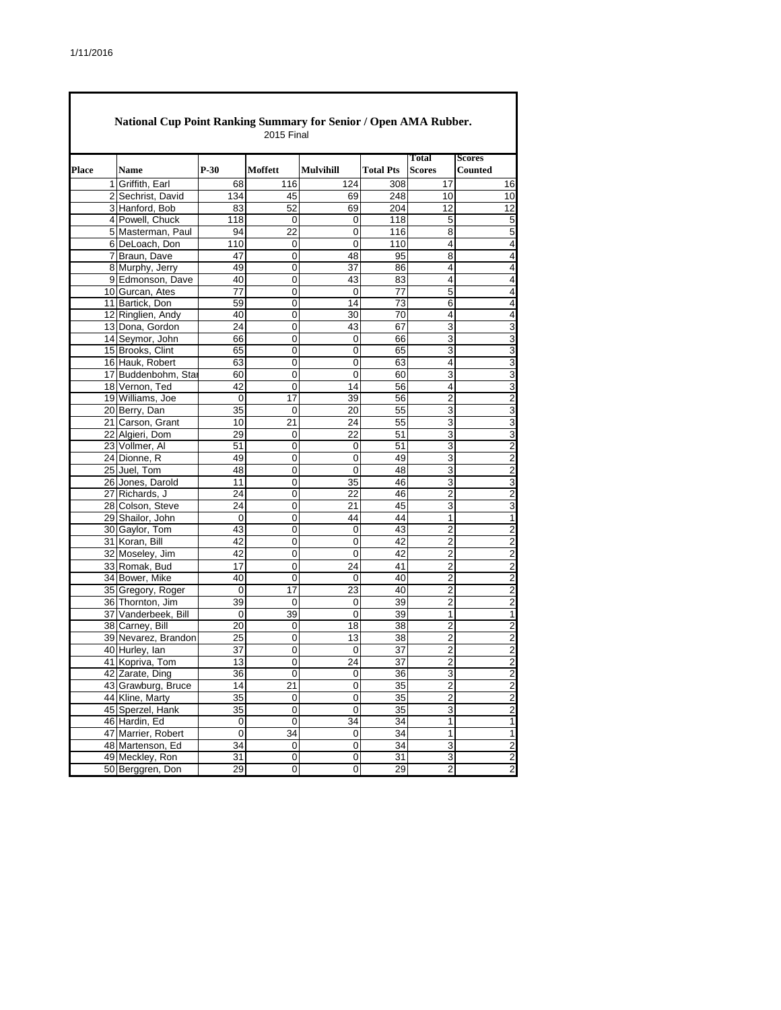|              | National Cup Point Ranking Summary for Senior / Open AMA Rubber. |             | <b>2015 Final</b> |                  |                  |                                  |                                  |
|--------------|------------------------------------------------------------------|-------------|-------------------|------------------|------------------|----------------------------------|----------------------------------|
|              |                                                                  |             |                   |                  |                  | <b>Total</b>                     | <b>Scores</b>                    |
| <b>Place</b> | <b>Name</b>                                                      | $P-30$      | Moffett           | <b>Mulvihill</b> | <b>Total Pts</b> | <b>Scores</b>                    | <b>Counted</b>                   |
|              | 1 Griffith, Earl                                                 | 68          | 116               | 124              | 308              | 17                               | 16                               |
|              | 2 Sechrist, David                                                | 134         | 45                | 69               | 248              | 10                               | 10                               |
|              | 3 Hanford, Bob                                                   | 83          | 52                | 69               | 204              | 12                               | 12                               |
|              | 4 Powell, Chuck                                                  | 118         | 0                 | 0                | 118              | 5                                | 5                                |
|              | 5 Masterman, Paul                                                | 94          | $\overline{22}$   | 0                | 116              | $\overline{8}$                   | 5                                |
|              | 6 DeLoach, Don                                                   | 110         | 0                 | 0                | 110              | 4                                | 4                                |
|              | 7 Braun, Dave                                                    | 47          | 0                 | 48               | 95               | $\overline{8}$                   | 4                                |
|              | 8 Murphy, Jerry                                                  | 49          | 0                 | 37               | 86               | 4                                | 4                                |
|              | 9 Edmonson, Dave                                                 | 40          | 0                 | 43               | 83               | $\overline{\mathbf{4}}$          | 4                                |
|              | 10 Gurcan, Ates                                                  | 77          | 0                 | 0                | 77               | 5                                | 4                                |
|              | 11 Bartick, Don                                                  | 59          | 0                 | 14               | 73               | 6                                | 4                                |
|              | 12 Ringlien, Andy                                                | 40          | 0                 | 30               | 70               | 4                                | 4                                |
|              | 13 Dona, Gordon                                                  | 24          | 0                 | 43               | 67               | $\overline{3}$                   | 3                                |
|              | 14 Seymor, John                                                  | 66          | 0                 | 0                | 66               | 3                                | 3                                |
|              | 15 Brooks, Clint                                                 | 65          | 0                 | 0                | 65               | 3                                | 3                                |
|              | 16 Hauk, Robert                                                  | 63          | 0                 | 0                | 63               | 4                                | 3                                |
|              | 17 Buddenbohm, Star                                              | 60          | 0                 | 0                | 60               | 3                                | 3                                |
|              | 18 Vernon, Ted                                                   | 42          | 0                 | 14               | 56               | 4                                | 3                                |
|              | 19 Williams, Joe                                                 | 0           | 17                | 39               | 56               | $\overline{2}$                   | $\overline{2}$                   |
|              | 20 Berry, Dan                                                    | 35          | 0                 | 20               | 55               | $\overline{3}$                   | 3                                |
|              | 21 Carson, Grant                                                 | 10          | 21                | 24               | 55               | 3                                | 3                                |
|              | 22 Algieri, Dom                                                  | 29          | 0                 | 22               | 51               | 3                                | 3                                |
|              | 23 Vollmer, Al                                                   | 51          | 0                 | 0                | 51               | 3                                | $\overline{2}$                   |
|              | 24 Dionne, R                                                     | 49          | 0                 | 0                | 49               | 3                                | $\overline{2}$                   |
|              | 25 Juel, Tom                                                     | 48          | 0                 | 0                | 48               | $\overline{3}$                   | $\overline{2}$                   |
|              | 26 Jones, Darold                                                 | 11          | 0                 | 35               | 46               | 3                                | 3                                |
|              | 27 Richards, J                                                   | 24          | $\overline{0}$    | 22               | 46               | $\overline{2}$                   | $\overline{2}$                   |
|              | 28 Colson, Steve                                                 | 24          | 0                 | 21               | 45               | 3                                | 3                                |
|              | 29 Shailor, John                                                 | $\mathbf 0$ | 0                 | 44               | 44               | $\mathbf{1}$                     | $\mathbf{1}$                     |
|              | 30 Gaylor, Tom                                                   | 43<br>42    | 0                 | 0                | 43<br>42         | $\overline{2}$<br>$\overline{2}$ | $\overline{2}$<br>$\overline{2}$ |
|              | 31 Koran, Bill                                                   |             | 0                 | 0                | 42               |                                  |                                  |
|              | 32 Moseley, Jim                                                  | 42          | 0                 | 0                |                  | $\overline{\mathbf{c}}$          | $\overline{c}$                   |
|              | 33 Romak, Bud                                                    | 17          | 0                 | 24               | 41               | $\mathbf 2$                      | $\overline{2}$                   |
|              | 34 Bower, Mike<br>35 Gregory, Roger                              | 40          | $\mathbf 0$       | 0                | 40               | $\overline{2}$                   | $\overline{\mathbf{c}}$          |
|              | 36 Thornton, Jim                                                 | 0<br>39     | 17<br>0           | 23<br>0          | 40<br>39         | 2<br>$\overline{2}$              | 2<br>$\overline{2}$              |
|              | 37 Vanderbeek, Bill                                              | 0           | 39                | 0                | 39               | 1                                | 1                                |
|              | 38 Carney, Bill                                                  | 20          | 0                 | $\overline{18}$  | 38               | $\overline{2}$                   | $\overline{2}$                   |
|              | 39 Nevarez, Brandon                                              | 25          | 0                 | 13               | 38               | 2                                | 2                                |
|              | 40 Hurley, Ian                                                   | 37          | 0                 | 0                | 37               | $\overline{c}$                   | $\overline{2}$                   |
|              | 41 Kopriva, Tom                                                  | 13          | 0                 | 24               | $\overline{37}$  | $\mathfrak{p}$                   | $\mathfrak{p}$                   |
|              | 42 Zarate, Ding                                                  | 36          | $\pmb{0}$         | 0                | 36               | $\overline{3}$                   | $\overline{2}$                   |
|              | 43 Grawburg, Bruce                                               | 14          | 21                | 0                | 35               | $\overline{2}$                   | $\overline{2}$                   |
|              | 44 Kline, Marty                                                  | 35          | $\pmb{0}$         | 0                | 35               | $\overline{2}$                   | $\overline{2}$                   |
|              | 45 Sperzel, Hank                                                 | 35          | $\pmb{0}$         | 0                | 35               | 3                                | $\overline{2}$                   |
|              | 46 Hardin, Ed                                                    | 0           | $\pmb{0}$         | $\overline{34}$  | $\overline{34}$  | 1                                | $\mathbf{1}$                     |
|              | 47 Marrier, Robert                                               | 0           | 34                | 0                | 34               | $\mathbf{1}$                     | 1                                |
|              | 48 Martenson, Ed                                                 | 34          | $\pmb{0}$         | $\overline{0}$   | $\overline{34}$  | $\overline{3}$                   | $\overline{2}$                   |
|              | 49 Meckley, Ron                                                  | 31          | 0                 | 0                | 31               | 3                                | $\overline{2}$                   |
|              | 50 Berggren, Don                                                 | 29          | $\pmb{0}$         | $\pmb{0}$        | 29               | $\overline{2}$                   | $\overline{\mathbf{c}}$          |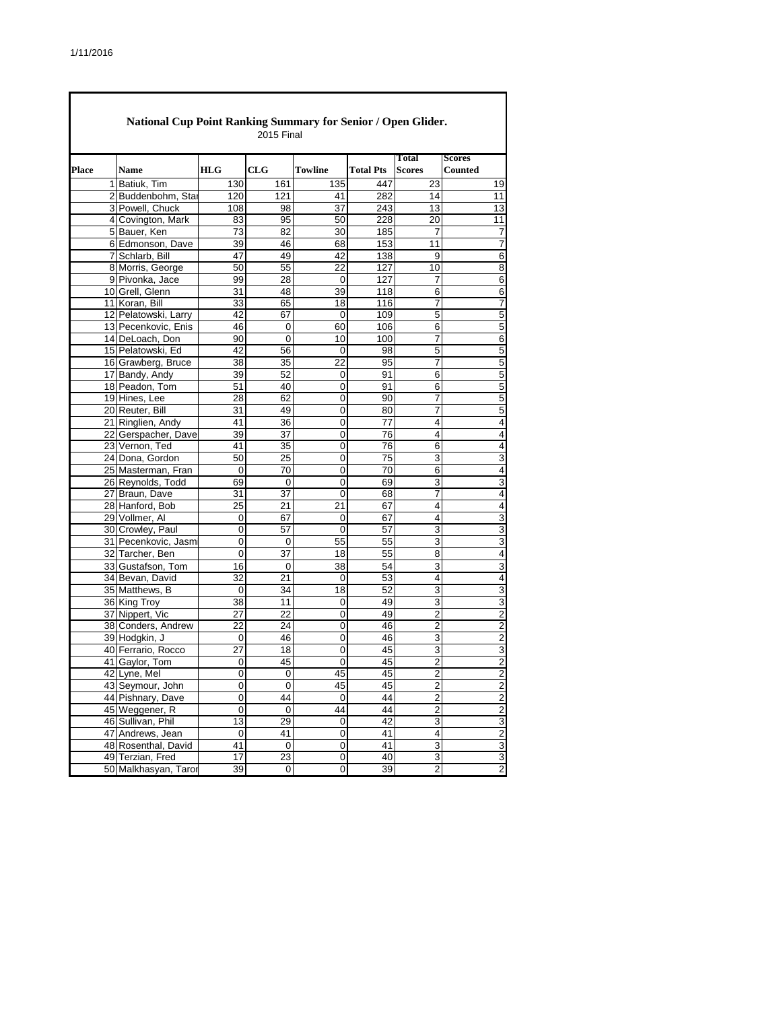|       |                                       |                | <b>2015 Final</b> |                |                  |                               |                                 |
|-------|---------------------------------------|----------------|-------------------|----------------|------------------|-------------------------------|---------------------------------|
| Place | Name                                  | <b>HLG</b>     | CLG               | Towline        | <b>Total Pts</b> | <b>Total</b><br><b>Scores</b> | <b>Scores</b><br><b>Counted</b> |
|       | 1 Batiuk, Tim                         | 130            | 161               | 135            | 447              | 23                            | 19                              |
|       | 2 Buddenbohm, Star                    | 120            | 121               | 41             | 282              | 14                            | 11                              |
|       | 3 Powell, Chuck                       | 108            | 98                | 37             | 243              | 13                            | 13                              |
|       | 4 Covington, Mark                     | 83             | 95                | 50             | 228              | 20                            | 11                              |
|       | 5 Bauer, Ken                          | 73             | 82                | 30             | 185              | 7                             | 7                               |
|       | 6 Edmonson, Dave                      | 39             | 46                | 68             | 153              | 11                            | 7                               |
|       | 7 Schlarb, Bill                       | 47             | 49                | 42             | 138              | 9                             | 6                               |
|       | 8 Morris, George                      | 50             | 55                | 22             | 127              | 10                            | 8                               |
|       | 9 Pivonka, Jace                       | 99             | 28                | 0              | 127              | 7                             | 6                               |
|       | 10 Grell, Glenn                       | 31             | 48                | 39             | 118              | 6                             | 6                               |
|       | 11 Koran, Bill                        | 33             | 65                | 18             | 116              | 7                             | 7                               |
|       | 12 Pelatowski, Larry                  | 42             | 67                | 0              | 109              | 5                             | 5                               |
|       | 13 Pecenkovic, Enis                   | 46             | 0                 | 60             | 106              | 6                             | 5                               |
|       | 14 DeLoach, Don                       | 90             | 0                 | 10             | 100              | 7                             | 6                               |
|       | 15 Pelatowski, Ed                     | 42             | 56                | 0              | 98               | 5                             | 5                               |
|       | 16 Grawberg, Bruce                    | 38             | 35                | 22             | 95               | 7                             | 5                               |
|       | 17 Bandy, Andy                        | 39             | 52                | 0              | 91               | 6                             | 5                               |
|       | 18 Peadon, Tom                        | 51             | 40                | $\mathbf 0$    | 91               | 6                             | 5                               |
|       | 19 Hines, Lee                         | 28             | 62                | $\mathbf 0$    | 90               | 7                             | 5                               |
|       | 20 Reuter, Bill                       | 31             | 49                | 0              | 80               | 7                             | 5                               |
|       | 21 Ringlien, Andy                     | 41             | 36                | 0              | 77               | 4                             | 4                               |
|       | 22 Gerspacher, Dave                   | 39             | 37                | 0              | 76               | 4                             | 4                               |
|       | 23 Vernon, Ted                        | 41             | 35                | 0              | 76               | 6                             | 4                               |
|       | 24 Dona, Gordon                       | 50             | 25                | 0              | 75               | 3                             | 3                               |
|       | 25 Masterman, Fran                    | $\mathbf 0$    | 70                | 0              | 70               | 6                             | 4                               |
|       | 26 Reynolds, Todd                     | 69             | 0                 | 0              | 69               | 3                             | 3                               |
|       | 27 Braun, Dave                        | 31             | 37                | $\mathbf 0$    | 68               | 7                             | 4                               |
|       | 28 Hanford, Bob                       | 25             | 21                | 21             | 67               | 4                             | 4                               |
|       | 29 Vollmer, Al                        | 0              | 67                | 0              | 67               | 4                             | 3                               |
|       | 30 Crowley, Paul                      | 0              | 57                | $\mathbf 0$    | 57               | 3                             | 3                               |
|       | 31 Pecenkovic, Jasm                   | 0              | 0                 | 55             | 55               | 3                             | 3                               |
|       | 32 Tarcher, Ben                       | 0              | 37                | 18             | 55               | 8                             | 4                               |
|       | 33 Gustafson, Tom                     | 16             | 0                 | 38             | 54               | 3                             | 3                               |
|       | 34 Bevan, David                       | 32             | 21                | $\mathbf 0$    | 53               | 4                             | 4                               |
|       | 35 Matthews, B                        | $\mathbf 0$    | 34                | 18             | 52               | 3                             | 3                               |
|       | 36 King Troy                          | 38             | 11                | 0              | 49               | 3                             | 3                               |
|       | 37 Nippert, Vic                       | 27             | 22                | $\mathbf 0$    | 49               | 2                             | 2                               |
|       | 38 Conders, Andrew                    | 22             | 24                | 0              | 46               | 2                             | $\overline{2}$                  |
|       | 39 Hodgkin, J                         | 0              | 46                | 0              | 46               | 3                             | 2                               |
|       | 40 Ferrario, Rocco                    | 27<br>0        | 18                | 0<br>0         | 45               | 3<br>2                        | 3<br>$\overline{2}$             |
|       | 41 Gaylor, Tom                        | $\overline{0}$ | 45<br>0           | 45             | 45<br>45         | $\overline{2}$                | $\overline{2}$                  |
|       | 42 Lyne, Mel                          | 0              | 0                 | 45             | 45               | 2                             | $\overline{c}$                  |
|       | 43 Seymour, John<br>44 Pishnary, Dave | $\pmb{0}$      | 44                | $\pmb{0}$      | 44               | $\overline{2}$                | $\overline{2}$                  |
|       | 45 Weggener, R                        | 0              | 0                 | 44             | 44               | $\overline{2}$                | $\overline{2}$                  |
|       | 46 Sullivan, Phil                     | 13             | 29                | $\overline{0}$ | 42               | $\overline{3}$                |                                 |
|       | 47 Andrews, Jean                      | 0              | 41                | 0              | 41               | 4                             | 3<br>$\overline{c}$             |
|       | 48 Rosenthal, David                   | 41             | 0                 | 0              | 41               | $\overline{3}$                | 3                               |
|       | 49 Terzian, Fred                      | 17             | 23                | 0              | 40               | 3                             | 3                               |
|       | 50 Malkhasyan, Taror                  | 39             | 0                 | 0              | 39               | $\overline{\mathbf{c}}$       | $\overline{\mathbf{c}}$         |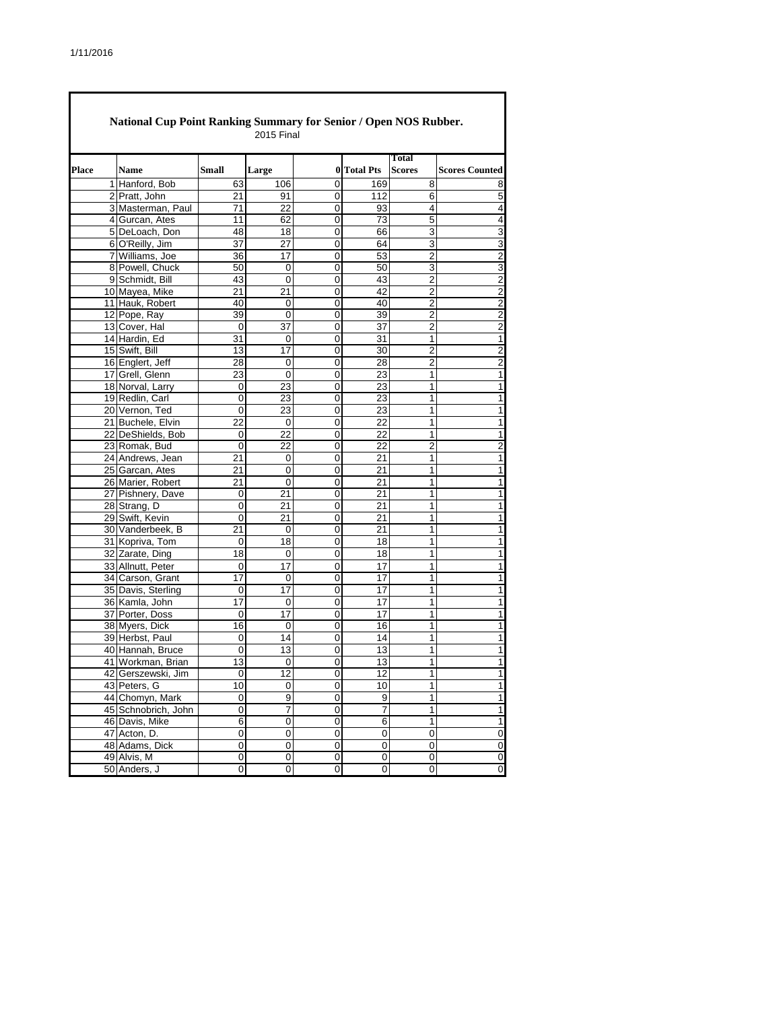| Place | <b>Name</b>                         | <b>Small</b>   | Large           |                     | 0 Total Pts    | Total<br><b>Scores</b> | <b>Scores Counted</b>   |
|-------|-------------------------------------|----------------|-----------------|---------------------|----------------|------------------------|-------------------------|
|       | 1 Hanford, Bob                      | 63             | 106             | 0                   | 169            | 8                      | 8                       |
|       | 2 Pratt, John                       | 21             | 91              | 0                   | 112            | 6                      | 5                       |
|       | 3 Masterman, Paul                   | 71             | 22              | 0                   | 93             | 4                      | 4                       |
|       | 4 Gurcan, Ates                      | 11             | 62              | 0                   | 73             | 5                      | 4                       |
|       | 5 DeLoach, Don                      | 48             | 18              | 0                   | 66             | 3                      | 3                       |
|       | 6 O'Reilly, Jim                     | 37             | 27              | 0                   | 64             | 3                      | 3                       |
|       | 7 Williams, Joe                     | 36             | 17              | 0                   | 53             | $\overline{2}$         | $\overline{2}$          |
|       | 8 Powell, Chuck                     | 50             | 0               | 0                   | 50             | 3                      | 3                       |
|       | 9 Schmidt, Bill                     | 43             | $\mathbf 0$     | 0                   | 43             | 2                      | $\overline{2}$          |
|       | 10 Mayea, Mike                      | 21             | 21              | 0                   | 42             | $\overline{c}$         | $\overline{\mathbf{c}}$ |
|       | 11 Hauk, Robert                     | 40             | 0               | 0                   | 40             | 2                      | $\boldsymbol{2}$        |
|       | 12 Pope, Ray                        | 39             | 0               | 0                   | 39             | $\overline{2}$         | $\overline{2}$          |
|       | 13 Cover, Hal                       | 0              | 37              | $\pmb{0}$           | 37             | $\overline{2}$         | $\mathbf 2$             |
|       | 14 Hardin, Ed                       | 31             | 0               | 0                   | 31             | $\mathbf{1}$           | 1                       |
|       | 15 Swift, Bill                      | 13             | 17              | 0                   | 30             | 2                      | $\boldsymbol{2}$        |
|       | 16 Englert, Jeff                    | 28             | $\mathbf 0$     | 0                   | 28             | 2                      | $\overline{2}$          |
|       | 17 Grell, Glenn                     | 23             | 0               | 0                   | 23             | 1                      | $\mathbf{1}$            |
|       | 18 Norval, Larry                    | 0              | 23              | 0                   | 23             | 1                      | 1                       |
|       | 19 Redlin, Carl                     | 0              | 23              | 0                   | 23             | 1                      | 1                       |
|       | 20 Vernon, Ted                      | 0              | 23              | 0                   | 23             | 1                      | 1                       |
|       | 21 Buchele, Elvin                   | 22             | $\mathbf 0$     | 0                   | 22             | 1                      | 1                       |
|       | 22 DeShields, Bob                   | 0              | 22              | 0                   | 22             | 1                      | 1                       |
|       | 23 Romak, Bud                       | 0              | 22              | 0                   | 22             | $\overline{2}$         | $\boldsymbol{2}$        |
|       | 24 Andrews, Jean                    | 21             | 0               | 0                   | 21             | 1                      | 1                       |
|       | 25 Garcan, Ates                     | 21             | $\mathbf 0$     | 0                   | 21             | $\mathbf{1}$           | 1                       |
|       | 26 Marier, Robert                   | 21             | 0               | 0                   | 21             | 1                      | 1                       |
|       | 27 Pishnery, Dave                   | 0              | 21              | 0                   | 21             | 1                      | 1                       |
|       | 28 Strang, D                        | 0              | 21              | 0                   | 21             | 1                      | 1                       |
|       | 29 Swift, Kevin                     | 0              | 21              | 0                   | 21             | 1                      | 1                       |
|       | 30 Vanderbeek, B                    | 21             | 0               | 0                   | 21             | 1                      | 1                       |
|       | 31 Kopriva, Tom                     | 0              | 18              | 0                   | 18             | 1                      | 1                       |
|       | 32 Zarate, Ding                     | 18             | 0               | 0                   | 18             | 1                      | 1                       |
|       | 33 Allnutt, Peter                   | 0              | 17              | 0                   | 17             | 1                      | 1                       |
|       | 34 Carson, Grant                    | 17             | 0               | 0                   | 17             | 1                      | 1                       |
|       | 35 Davis, Sterling                  | 0              | 17              | 0                   | 17             | 1                      | 1                       |
|       | 36 Kamla, John                      | 17             | 0               | 0                   | 17             | 1                      | 1                       |
|       | 37 Porter, Doss                     | 0              | 17              | 0                   | 17             | $\mathbf{1}$           | 1                       |
|       | 38 Myers, Dick                      | 16<br>0        | 0<br>14         | 0<br>0              | 16<br>14       | 1<br>1                 | 1<br>1                  |
|       | 39 Herbst, Paul<br>40 Hannah, Bruce | 0              | 13              | 0                   | 13             | 1                      | 1                       |
|       | 41 Workman, Brian                   |                |                 |                     |                | $\mathbf{1}$           |                         |
|       | 42 Gerszewski, Jim                  | 13<br>0        | $\overline{12}$ | 0<br>$\overline{0}$ | 13<br>12       | $\overline{1}$         | 1                       |
|       | 43 Peters, G                        | 10             | 0               | 0                   | 10             | 1                      | 1                       |
|       | 44 Chomyn, Mark                     | $\pmb{0}$      | $\overline{9}$  | $\overline{0}$      | 9              | 1                      | 1                       |
|       | 45 Schnobrich, John                 | 0              | 7               | 0                   | 7              | 1                      | 1                       |
|       | 46 Davis, Mike                      | $\overline{6}$ | 0               | $\pmb{0}$           | $\overline{6}$ | 1                      | 1                       |
|       | 47 Acton, D.                        | 0              | 0               | 0                   | $\mathbf 0$    | 0                      | 0                       |
|       | 48 Adams, Dick                      | $\overline{0}$ | 0               | 0                   | $\mathbf 0$    | 0                      | $\pmb{0}$               |
|       | 49 Alvis, M                         | $\pmb{0}$      | $\pmb{0}$       | 0                   | $\mathbf 0$    | 0                      | $\pmb{0}$               |
|       | 50 Anders, J                        | 0              | 0               | 0                   | 0              | 0                      | 0                       |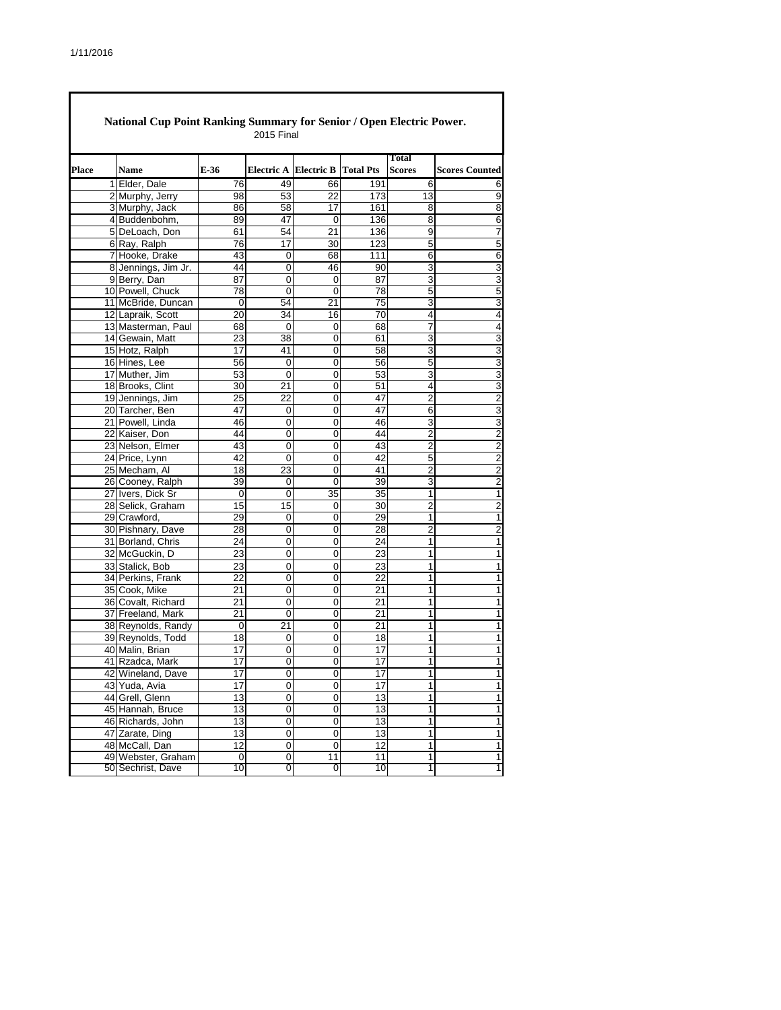|       | National Cup Point Ranking Summary for Senior / Open Electric Power. |                 | <b>2015 Final</b> |                                        |                 |                               |                       |
|-------|----------------------------------------------------------------------|-----------------|-------------------|----------------------------------------|-----------------|-------------------------------|-----------------------|
| Place | Name                                                                 | E-36            |                   | <b>Electric A Electric B Total Pts</b> |                 | <b>Total</b><br><b>Scores</b> | <b>Scores Counted</b> |
|       | 1 Elder, Dale                                                        | 76              | 49                | 66                                     | 191             | 6                             | 6                     |
|       | 2 Murphy, Jerry                                                      | 98              | 53                | 22                                     | 173             | 13                            | 9                     |
|       | 3 Murphy, Jack                                                       | 86              | 58                | 17                                     | 161             | 8                             | 8                     |
|       | 4 Buddenbohm,                                                        | 89              | 47                | 0                                      | 136             | 8                             | 6                     |
|       | 5 DeLoach, Don                                                       | 61              | 54                | 21                                     | 136             | $\overline{9}$                | 7                     |
|       | 6 Ray, Ralph                                                         | 76              | 17                | 30                                     | 123             | 5                             | 5                     |
|       | 7 Hooke, Drake                                                       | 43              | 0                 | 68                                     | 111             | 6                             | 6                     |
|       | 8 Jennings, Jim Jr.                                                  | 44              | 0                 | 46                                     | 90              | 3                             | 3                     |
|       | 9 Berry, Dan                                                         | 87              | 0                 | 0                                      | 87              | 3                             | 3                     |
|       | 10 Powell, Chuck                                                     | 78              | 0                 | 0                                      | 78              | 5                             | 5                     |
|       | 11 McBride, Duncan                                                   | 0               | 54                | 21                                     | 75              | 3                             | 3                     |
|       | 12 Lapraik, Scott                                                    | 20              | 34                | 16                                     | 70              | 4                             | 4                     |
|       | 13 Masterman, Paul                                                   | 68              | 0                 | 0                                      | 68              | 7                             | $\overline{4}$        |
|       | 14 Gewain, Matt                                                      | 23              | 38                | 0                                      | 61              | 3                             | 3                     |
|       | 15 Hotz, Ralph                                                       | 17              | 41                | 0                                      | 58              | 3                             | 3                     |
|       | 16 Hines, Lee                                                        | 56              | 0                 | 0                                      | 56              | 5                             | 3                     |
|       | 17 Muther, Jim                                                       | 53              | $\mathbf 0$       | 0                                      | 53              | 3                             | 3                     |
|       | 18 Brooks, Clint                                                     | 30              | 21                | 0                                      | 51              | 4                             | 3                     |
|       | 19 Jennings, Jim                                                     | 25              | $\overline{22}$   | 0                                      | 47              | $\overline{2}$                | $\overline{c}$        |
|       | 20 Tarcher, Ben                                                      | 47              | 0                 | 0                                      | 47              | 6                             | 3                     |
|       | 21 Powell, Linda                                                     | 46              | 0                 | 0                                      | 46              | 3                             | 3                     |
|       | 22 Kaiser, Don                                                       | 44              | 0                 | 0                                      | 44              | 2                             | 2                     |
|       | 23 Nelson, Elmer                                                     | 43              | $\overline{0}$    | 0                                      | 43              | $\overline{2}$                | 2                     |
|       | 24 Price, Lynn                                                       | 42<br>18        | 0                 | 0                                      | 42<br>41        | 5<br>$\overline{2}$           | 2                     |
|       | 25 Mecham, Al                                                        |                 | 23                | 0                                      |                 |                               | $\overline{2}$        |
|       | 26 Cooney, Ralph<br>27 Ivers, Dick Sr                                | 39<br>0         | 0<br>0            | 0<br>35                                | 39<br>35        | 3<br>1                        | $\overline{c}$<br>1   |
|       | 28 Selick, Graham                                                    | 15              |                   |                                        |                 | 2                             |                       |
|       | 29 Crawford,                                                         | 29              | 15<br>0           | 0<br>$\mathbf 0$                       | 30<br>29        | 1                             | 2<br>1                |
|       | 30 Pishnary, Dave                                                    | 28              | 0                 | 0                                      | 28              | $\overline{2}$                | 2                     |
|       | 31 Borland, Chris                                                    | 24              | 0                 | 0                                      | 24              | 1                             | 1                     |
|       | 32 McGuckin, D                                                       | 23              | 0                 | 0                                      | 23              | 1                             | $\mathbf{1}$          |
|       | 33 Stalick, Bob                                                      | 23              | 0                 | 0                                      | 23              | 1                             | 1                     |
|       | 34 Perkins, Frank                                                    | $\overline{22}$ | $\overline{0}$    | 0                                      | 22              | 1                             | $\overline{1}$        |
|       | 35 Cook, Mike                                                        | 21              | 0                 | 0                                      | 21              | 1                             | 1                     |
|       | 36 Covalt, Richard                                                   | 21              | 0                 | 0                                      | 21              | $\mathbf{1}$                  | 1                     |
|       | 37 Freeland, Mark                                                    | 21              | 0                 | 0                                      | 21              | $\mathbf{1}$                  | 1                     |
|       | 38 Reynolds, Randy                                                   | 0               | 21                | 0                                      | 21              | 1                             | $\mathbf{1}$          |
|       | 39 Reynolds, Todd                                                    | 18              | 0                 | 0                                      | 18              | 1                             | 1                     |
|       | 40 Malin, Brian                                                      | 17              | 0                 | 0                                      | 17              | 1                             | 1                     |
|       | 41 Rzadca, Mark                                                      | $\overline{17}$ | 0                 | 0                                      | $\overline{17}$ | $\mathbf{1}$                  | 1                     |
|       | 42 Wineland, Dave                                                    | 17              | $\overline{0}$    | $\overline{0}$                         | 17              | $\overline{1}$                | 1                     |
|       | 43 Yuda, Avia                                                        | 17              | 0                 | 0                                      | 17              | 1                             | 1                     |
|       | 44 Grell, Glenn                                                      | 13              | $\overline{0}$    | $\overline{0}$                         | 13              | $\overline{1}$                | 1                     |
|       | 45 Hannah, Bruce                                                     | 13              | 0                 | 0                                      | 13              | 1                             | $\mathbf{1}$          |
|       | 46 Richards, John                                                    | 13              | $\overline{0}$    | $\overline{0}$                         | 13              | $\overline{1}$                | $\mathbf{1}$          |
|       | 47 Zarate, Ding                                                      | 13              | 0                 | 0                                      | 13              | 1                             | $\mathbf{1}$          |
|       | 48 McCall, Dan                                                       | 12              | 0                 | 0                                      | 12              | $\overline{1}$                | $\mathbf{1}$          |
|       | 49 Webster, Graham                                                   | $\pmb{0}$       | 0                 | 11                                     | 11              | 1                             | 1                     |
|       | 50 Sechrist, Dave                                                    | 10              | 0                 | 0                                      | 10              | 1                             | 1                     |